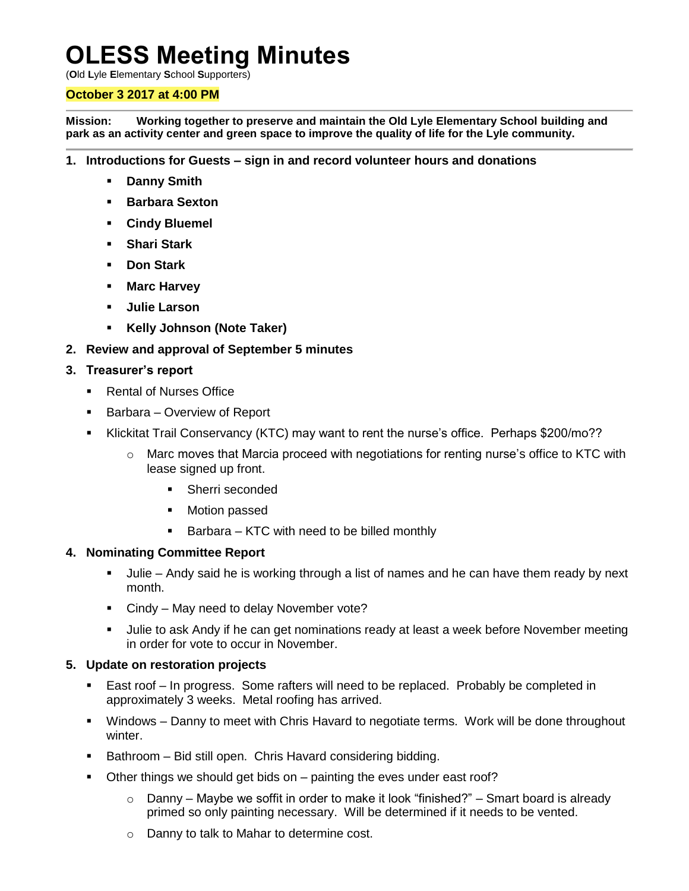# **OLESS Meeting Minutes**

(**O**ld **L**yle **E**lementary **S**chool **S**upporters)

## **October 3 2017 at 4:00 PM**

**Mission: Working together to preserve and maintain the Old Lyle Elementary School building and park as an activity center and green space to improve the quality of life for the Lyle community.**

- **1. Introductions for Guests – sign in and record volunteer hours and donations**
	- **Danny Smith**
	- **Barbara Sexton**
	- **Cindy Bluemel**
	- **Shari Stark**
	- **Don Stark**
	- **Marc Harvey**
	- **Julie Larson**
	- **Kelly Johnson (Note Taker)**
- **2. Review and approval of September 5 minutes**

### **3. Treasurer's report**

- Rental of Nurses Office
- Barbara Overview of Report
- Klickitat Trail Conservancy (KTC) may want to rent the nurse's office. Perhaps \$200/mo??
	- $\circ$  Marc moves that Marcia proceed with negotiations for renting nurse's office to KTC with lease signed up front.
		- **Sherri seconded**
		- **•** Motion passed
		- $\blacksquare$  Barbara KTC with need to be billed monthly

### **4. Nominating Committee Report**

- Julie Andy said he is working through a list of names and he can have them ready by next month.
- **Cindy May need to delay November vote?**
- Julie to ask Andy if he can get nominations ready at least a week before November meeting in order for vote to occur in November.

### **5. Update on restoration projects**

- East roof In progress. Some rafters will need to be replaced. Probably be completed in approximately 3 weeks. Metal roofing has arrived.
- Windows Danny to meet with Chris Havard to negotiate terms. Work will be done throughout winter.
- **Bathroom Bid still open. Chris Havard considering bidding.**
- Other things we should get bids on painting the eves under east roof?
	- $\circ$  Danny Maybe we soffit in order to make it look "finished?" Smart board is already primed so only painting necessary. Will be determined if it needs to be vented.
	- o Danny to talk to Mahar to determine cost.